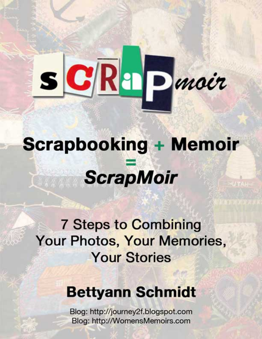# SCRAPmoir

# **Scrapbooking + Memoir ScrapMoir**

## **7 Steps to Combining** Your Photos, Your Memories, **Your Stories**

## **Bettyann Schmidt**

Blog: http://journey2f.blogspot.com Blog: http://WomensMemoirs.com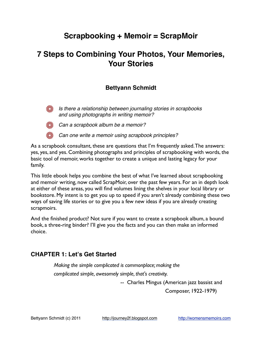#### **Scrapbooking + Memoir = ScrapMoir**

#### **7 Steps to Combining Your Photos, Your Memories, Your Stories**

#### **Bettyann Schmidt**



**Is there a relationship between journaling stories in scrapbooks** *and using photographs in writing memoir?* 



*Can a scrapbook album be a memoir?* 

*Can one write a memoir using scrapbook principles?* 

As a scrapbook consultant, these are questions that I'm frequently asked. The answers: yes, yes, and yes. Combining photographs and principles of scrapbooking with words, the basic tool of memoir, works together to create a unique and lasting legacy for your family.

This little ebook helps you combine the best of what I've learned about scrapbooking and memoir writing, now called ScrapMoir, over the past few years. For an in depth look at either of these areas, you will find volumes lining the shelves in your local library or bookstore. My intent is to get you up to speed if you aren't already combining these two ways of saving life stories or to give you a few new ideas if you are already creating scrapmoirs.

And the finished product? Not sure if you want to create a scrapbook album, a bound book, a three-ring binder? I'll give you the facts and you can then make an informed choice.

#### **CHAPTER 1: Let's Get Started**

*Making the simple complicated is commonplace; making the complicated simple, awesomely simple, that's creativity.*

-- Charles Mingus (American jazz bassist and

Composer, 1922-1979)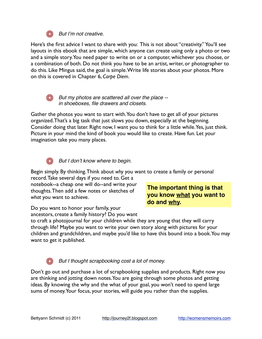

#### **Sout I'm not creative.**

Here's the first advice I want to share with you: This is not about "creativity." You'll see layouts in this ebook that are simple, which anyone can create using only a photo or two and a simple story. You need paper to write on or a computer, whichever you choose, or a combination of both. Do not think you have to be an artist, writer, or photographer to do this. Like Mingus said, the goal is simple. Write life stories about your photos. More on this is covered in Chapter 6, *Carpe Diem*.



*But my photos are scattered all over the place - in shoeboxes, file drawers and closets.*

Gather the photos you want to start with. You don't have to get all of your pictures organized. That's a big task that just slows you down, especially at the beginning. Consider doing that later. Right now, I want you to think for a little while. Yes, just think. Picture in your mind the kind of book you would like to create. Have fun. Let your imagination take you many places.



#### *But I don*'*t know where to begin.*

Begin simply. By thinking. Think about *why* you want to create a family or personal

record. Take several days if you need to. Get a notebook--a cheap one will do--and write your thoughts. Then add a few notes or sketches of *what* you want to achieve.

**The important thing is that you know what you want to do and why.**

Do you want to honor your family, your

ancestors, create a family history? Do you want

to craft a photojournal for your children while they are young that they will carry through life? Maybe you want to write your own story along with pictures for your children and grandchildren, and maybe you'd like to have this bound into a book. You may want to get it published.

#### **But I thought scrapbooking cost a lot of money.**

Don't go out and purchase a lot of scrapbooking supplies and products. Right now you are thinking and jotting down notes. You are going through some photos and getting ideas. By knowing the why and the what of your goal, you won't need to spend large sums of money. Your focus, your stories, will guide you rather than the supplies.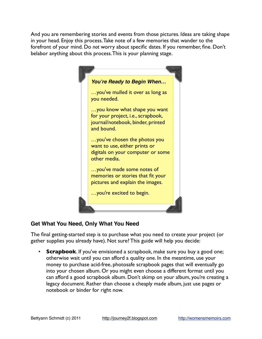And you are remembering stories and events from those pictures. Ideas are taking shape in your head. Enjoy this process. Take note of a few memories that wander to the forefront of your mind. Do *not* worry about specific dates. If you remember, fine. Don't belabor anything about this process. This is your planning stage.



#### **Get What You Need, Only What You Need**

The final getting-started step is to purchase what you need to create your project (or gather supplies you already have). Not sure? This guide will help you decide:

**Scrapbook**. If you've envisioned a scrapbook, make sure you buy a good one; otherwise wait until you can afford a quality one. In the meantime, use your money to purchase acid-free, photosafe scrapbook pages that will eventually go into your chosen album. Or you might even choose a different format until you can afford a good scrapbook album. Don't skimp on your album, you're creating a legacy document. Rather than choose a cheaply made album, just use pages or notebook or binder for right now.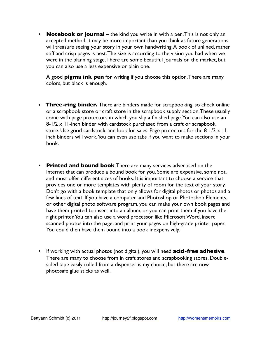• **Notebook or journal** – the kind you write in with a pen. This is not only an accepted method, it may be more important than you think as future generations will treasure seeing your story in your own handwriting. A book of unlined, rather stiff and crisp pages is best. The size is according to the vision you had when we were in the planning stage. There are some beautiful journals on the market, but you can also use a less expensive or plain one.

A good **pigma ink pen** for writing if you choose this option. There are many colors, but black is enough.

- • **Three-ring binder.** There are binders made for scrapbooking, so check online or a scrapbook store or craft store in the scrapbook supply section. These usually come with page protectors in which you slip a finished page. You can also use an 8-1/2 x 11-inch binder with cardstock purchased from a craft or scrapbook store. Use good cardstock, and look for sales. Page protectors for the  $8-1/2 \times 11$ inch binders will work. You can even use tabs if you want to make sections in your book.
- **Printed and bound book**. There are many services advertised on the Internet that can produce a bound book for you. Some are expensive, some not, and most offer different sizes of books. It is important to choose a service that provides one or more templates with plenty of room for the text of your story. Don't go with a book template that only allows for digital photos or photos and a few lines of text. If you have a computer and Photoshop or Photoshop Elements, or other digital photo software program, you can make your own book pages and have them printed to insert into an album, or you can print them if you have the right printer. You can also use a word processor like Microsoft Word, insert scanned photos into the page, and print your pages on high-grade printer paper. You could then have them bound into a book inexpensively.
- If working with actual photos (not digital), you will need **acid-free adhesive**. There are many to choose from in craft stores and scrapbooking stores. Doublesided tape easily rolled from a dispenser is my choice, but there are now photosafe glue sticks as well.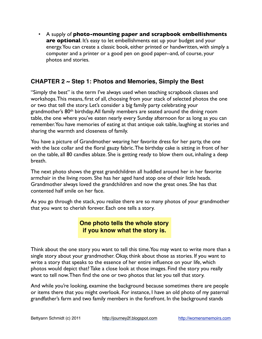• A supply of **photo-mounting paper and scrapbook embellishments are optional.** It's easy to let embellishments eat up your budget and your energy. You can create a classic book, either printed or handwritten, with simply a computer and a printer or a good pen on good paper--and, of course, your photos and stories.

#### **CHAPTER 2 ~ Step 1: Photos and Memories, Simply the Best**

"Simply the best" is the term I've always used when teaching scrapbook classes and workshops. This means, first of all, choosing from your stack of selected photos the one or two that tell the story. Let's consider a big family party celebrating your grandmother's 80<sup>th</sup> birthday. All family members are seated around the dining room table, the one where you've eaten nearly every Sunday afternoon for as long as you can remember. You have memories of eating at that antique oak table, laughing at stories and sharing the warmth and closeness of family.

You have a picture of Grandmother wearing her favorite dress for her party, the one with the lace collar and the floral gauzy fabric. The birthday cake is sitting in front of her on the table, all 80 candles ablaze. She is getting ready to blow them out, inhaling a deep breath.

The next photo shows the great grandchildren all huddled around her in her favorite armchair in the living room. She has her aged hand atop one of their little heads. Grandmother always loved the grandchildren and now the great ones. She has that contented half smile on her face.

As you go through the stack, you realize there are so many photos of your grandmother that you want to cherish forever. Each one tells a story.

> **One photo tells the whole story if you know what the story is.**

Think about the one story you want to tell this time. You may want to write more than a single story about your grandmother. Okay, think about those as stories. If you want to write a story that speaks to the essence of her entire influence on your life, which photos would depict that? Take a close look at those images. Find the story you really want to tell now. Then find the one or two photos that let you tell that story.

And while you're looking, examine the background because sometimes there are people or items there that you might overlook. For instance, I have an old photo of my paternal grandfather's farm and two family members in the forefront. In the background stands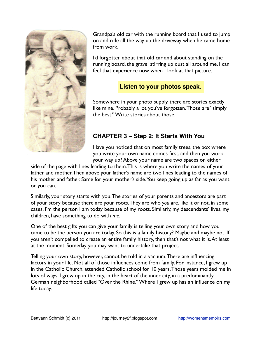

Grandpa's old car with the running board that I used to jump on and ride all the way up the driveway when he came home from work.

I'd forgotten about that old car and about standing on the running board, the gravel stirring up dust all around me. I can feel that experience now when I look at that picture.

#### **Listen to your photos speak.**

Somewhere in your photo supply, there are stories exactly like mine. Probably a lot you've forgotten. Those are "simply the best." Write stories about those.

#### **CHAPTER 3 ~ Step 2: It Starts With You**

Have you noticed that on most family trees, the box where you write your own name comes first, and then you work your way up? Above your name are two spaces on either

side of the page with lines leading to them. This is where you write the names of your father and mother. Then above your father's name are two lines leading to the names of his mother and father. Same for your mother's side. You keep going up as far as you want or you can.

Similarly, your story starts with you. The stories of your parents and ancestors are part of your story because there are your roots. They are who *you* are, like it or not, in some cases. I'm the person I am today because of my roots. Similarly, my descendants' lives, my children, have something to do with *me*.

One of the best gifts you can give your family is telling your own story and how you came to be the person you are today. So this is a family history? Maybe and maybe not. If you aren't compelled to create an entire family history, then that's not what it is. At least at the moment. Someday you may want to undertake that project.

Telling your own story, however, cannot be told in a vacuum. There are influencing factors in your life. Not all of those influences come from family. For instance, I grew up in the Catholic Church, attended Catholic school for 10 years. Those years molded me in lots of ways. I grew up in the city, in the heart of the inner city, in a predominantly German neighborhood called "Over the Rhine." Where I grew up has an influence on my life today.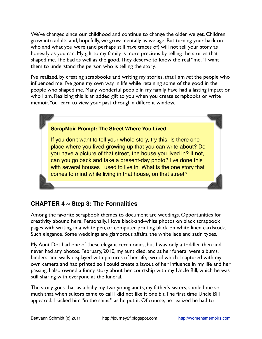We've changed since our childhood and continue to change the older we get. Children grow into adults and, hopefully, we grow mentally as we age. But turning your back on who and what you were (and perhaps still have traces of) will not tell your story as honestly as you can. My gift to my family is more precious by telling the stories that shaped me. The bad as well as the good. They deserve to know the real "me." I want them to understand the person who is telling the story.

I've realized, by creating scrapbooks and writing my stories, that I am *not* the people who influenced me. I've gone my own way in life while retaining some of the good in the people who shaped me. Many wonderful people in my family have had a lasting impact on who I am. Realizing this is an added gift to you when you create scrapbooks or write memoir. You learn to view your past through a different window.

#### **ScrapMoir Prompt: The Street Where You Lived**

If you don't want to tell your whole story, try this. Is there one place where you lived growing up that you can write about? Do you have a picture of that street, the house you lived in? If not, can you go back and take a present-day photo? I've done this with several houses I used to live in. What is the one story that comes to mind while living in that house, on that street?

#### **CHAPTER 4 ~ Step 3: The Formalities**

Among the favorite scrapbook themes to document are weddings. Opportunities for creativity abound here. Personally, I love black-and-white photos on black scrapbook pages with writing in a white pen, or computer printing black on white linen cardstock. Such elegance. Some weddings are glamorous affairs, the white lace and satin types.

My Aunt Dot had one of these elegant ceremonies, but I was only a toddler then and never had any photos. February, 2010, my aunt died, and at her funeral were albums, binders, and walls displayed with pictures of her life, two of which I captured with my own camera and had printed so I could create a layout of her influence in my life and her passing. I also owned a funny story about her courtship with my Uncle Bill, which he was still sharing with everyone at the funeral.

The story goes that as a baby my two young aunts, my father's sisters, spoiled me so much that when suitors came to call I did not like it one bit. The first time Uncle Bill appeared, I kicked him "in the shins," as he put it. Of course, he realized he had to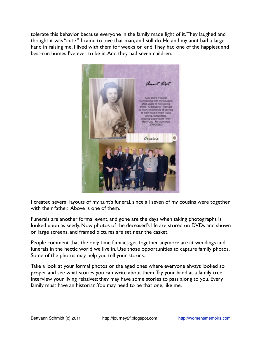tolerate this behavior because everyone in the family made light of it. They laughed and thought it was "cute." I came to love that man, and still do. He and my aunt had a large hand in raising me. I lived with them for weeks on end. They had one of the happiest and best-run homes I've ever to be in. And they had seven children.



I created several layouts of my aunt's funeral, since all seven of my cousins were together with their father. Above is one of them.

Funerals are another formal event, and gone are the days when taking photographs is looked upon as seedy. Now photos of the deceased's life are stored on DVDs and shown on large screens, and framed pictures are set near the casket.

People comment that the only time families get together anymore are at weddings and funerals in the hectic world we live in. Use those opportunities to capture family photos. Some of the photos may help you tell your stories.

Take a look at your formal photos or the aged ones where everyone always looked so proper and see what stories you can write about them. Try your hand at a family tree. Interview your living relatives; they may have some stories to pass along to you. Every family must have an historian. You may need to be that one, like me.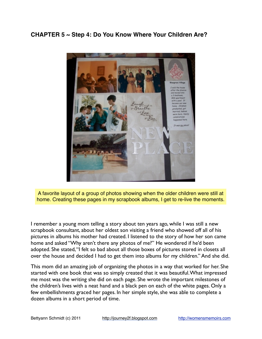#### **CHAPTER 5 ~ Step 4: Do You Know Where Your Children Are?**



A favorite layout of a group of photos showing when the older children were still at home. Creating these pages in my scrapbook albums, I get to re-live the moments.

I remember a young mom telling a story about ten years ago, while I was still a new scrapbook consultant, about her oldest son visiting a friend who showed off all of his pictures in albums his mother had created. I listened to the story of how her son came home and asked "Why aren't there any photos of me?" He wondered if he'd been adopted. She stated, "I felt so bad about all those boxes of pictures stored in closets all over the house and decided I had to get them into albums for my children." And she did.

This mom did an amazing job of organizing the photos in a way that worked for her. She started with one book that was so simply created that it was beautiful. What impressed me most was the writing she did on each page. She wrote the important milestones of the children's lives with a neat hand and a black pen on each of the white pages. Only a few embellishments graced her pages. In her simple style, she was able to complete a dozen albums in a short period of time.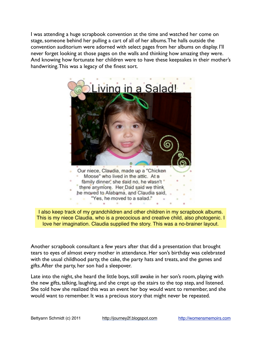I was attending a huge scrapbook convention at the time and watched her come on stage, someone behind her pulling a cart of all of her albums. The halls outside the convention auditorium were adorned with select pages from her albums on display. I'll never forget looking at those pages on the walls and thinking how amazing they were. And knowing how fortunate her children were to have these keepsakes in their mother's handwriting. This was a legacy of the finest sort.





Another scrapbook consultant a few years after that did a presentation that brought tears to eyes of almost every mother in attendance. Her son's birthday was celebrated with the usual childhood party, the cake, the party hats and treats, and the games and gifts. After the party, her son had a sleepover.

Late into the night, she heard the little boys, still awake in her son's room, playing with the new gifts, talking, laughing, and she crept up the stairs to the top step, and listened. She told how she realized this was an event her boy would want to remember, and she would want to remember. It was a precious story that might never be repeated.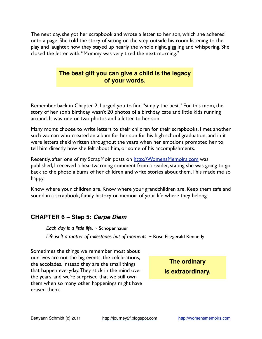The next day, she got her scrapbook and wrote a letter to her son, which she adhered onto a page. She told the story of sitting on the step outside his room listening to the play and laughter, how they stayed up nearly the whole night, giggling and whispering. She closed the letter with, "Mommy was very tired the next morning."

#### **The best gift you can give a child is the legacy of your words.**

Remember back in Chapter 2, I urged you to find "simply the best." For this mom, the story of her son's birthday wasn't 20 photos of a birthday cate and little kids running around. It was one or two photos and a letter to her son.

Many moms choose to write letters to their children for their scrapbooks. I met another such woman who created an album for her son for his high school graduation, and in it were letters she'd written throughout the years when her emotions prompted her to tell him directly how she felt about him, or some of his accomplishments.

Recently, after one of my ScrapMoir posts on<http://WomensMemoirs.com>was published, I received a heartwarming comment from a reader, stating she was going to go back to the photo albums of her children and write stories about them. This made me so happy.

Know where your children are. Know where your grandchildren are. Keep them safe and sound in a scrapbook, family history or memoir of your life where they belong.

#### **CHAPTER 6 ~ Step 5:** *Carpe Diem*

*Each day is a little life.* ~ Schopenhauer *Life isn't a matter of milestones but of moments.* ~ Rose Fitzgerald Kennedy

Sometimes the things we remember most about our lives are not the big events, the celebrations, the accolades. Instead they are the small things that happen everyday. They stick in the mind over the years, and we're surprised that we still own them when so many other happenings might have erased them.

**The ordinary is extraordinary.**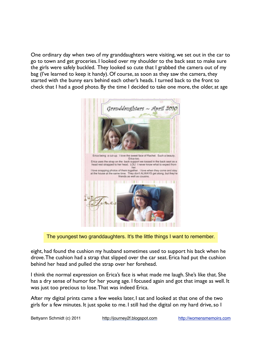One ordinary day when two of my granddaughters were visiting, we set out in the car to go to town and get groceries. I looked over my shoulder to the back seat to make sure the girls were safely buckled. They looked so cute that I grabbed the camera out of my bag (I've learned to keep it handy). Of course, as soon as they saw the camera, they started with the bunny ears behind each other's heads. I turned back to the front to check that I had a good photo. By the time I decided to take one more, the older, at age



The youngest two granddaughters. It's the little things I want to remember.

eight, had found the cushion my husband sometimes used to support his back when he drove. The cushion had a strap that slipped over the car seat. Erica had put the cushion behind her head and pulled the strap over her forehead.

I think the normal expression on Erica's face is what made me laugh. She's like that. She has a dry sense of humor for her young age. I focused again and got that image as well. It was just too precious to lose. That was indeed Erica.

After my digital prints came a few weeks later, I sat and looked at that one of the two girls for a few minutes. It just spoke to me. I still had the digital on my hard drive, so I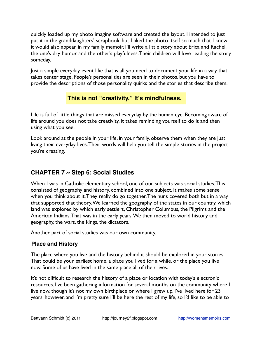quickly loaded up my photo imaging software and created the layout. I intended to just put it in the granddaughters' scrapbook, but I liked the photo itself so much that I knew it would also appear in my family memoir. I'll write a little story about Erica and Rachel, the one's dry humor and the other's playfulness. Their children will love reading the story someday.

Just a simple everyday event like that is all you need to document your life in a way that takes center stage. People's personalities are seen in their photos, but you have to provide the descriptions of those personality quirks and the stories that describe them.

#### **This is not "creativity." It's mindfulness.**

Life is full of little things that are missed everyday by the human eye. Becoming aware of life around you does not take creativity. It takes reminding yourself to do it and then using what you see.

Look around at the people in your life, in your family, observe them when they are just living their everyday lives. Their words will help you tell the simple stories in the project you're creating.

#### **CHAPTER 7 ~ Step 6: Social Studies**

When I was in Catholic elementary school, one of our subjects was social studies. This consisted of geography and history, combined into one subject. It makes some sense when you think about it. They really do go together. The nuns covered both but in a way that supported that theory. We learned the geography of the states in our country, which land was explored by which early settlers, Christopher Columbus, the Pilgrims and the American Indians. That was in the early years. We then moved to world history and geography, the wars, the kings, the dictators.

Another part of social studies was our own community.

#### **Place and History**

The place where you live and the history behind it should be explored in your stories. That could be your earliest home, a place you lived for a while, or the place you live now. Some of us have lived in the same place all of their lives.

It's not difficult to research the history of a place or location with today's electronic resources. I've been gathering information for several months on the community where I live now, though it's not my own birthplace or where I grew up. I've lived here for 23 years, however, and I'm pretty sure I'll be here the rest of my life, so I'd like to be able to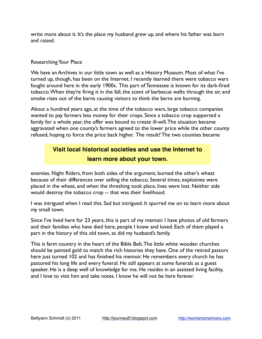write more about it. It's the place my husband grew up, and where his father was born and raised.

#### Researching Your Place

We have an Archives in our little town as well as a History Museum. Most of what I've turned up, though, has been on the Internet. I recently learned there were tobacco wars fought around here in the early 1900s. This part of Tennessee is known for its dark-fired tobacco. When they're firing it in the fall, the scent of barbecue wafts through the air, and smoke rises out of the barns causing visitors to think the barns are burning.

About a hundred years ago, at the time of the tobacco wars, large tobacco companies wanted to pay farmers less money for their crops. Since a tobacco crop supported a family for a whole year, the offer was bound to create ill-will. The situation became aggravated when one county's farmers agreed to the lower price while the other county refused, hoping to force the price back higher. The result? The two counties became

#### **Visit local historical societies and use the Internet to learn more about your town.**

enemies. Night Riders, from both sides of the argument, burned the other's wheat because of their differences over selling the tobacco. Several times, explosives were placed in the wheat, and when the threshing took place, lives were lost. Neither side would destroy the tobacco crop -- that was their livelihood.

I was intrigued when I read this. Sad but intrigued. It spurred me on to learn more about my small town.

Since I've lived here for 23 years, this is part of my memoir. I have photos of old farmers and their families who have died here, people I knew and loved. Each of them played a part in the history of this old town, as did my husband's family.

This is farm country in the heart of the Bible Belt. The little white wooden churches should be painted gold to match the rich histories they have. One of the retired pastors here just turned 102 and has finished his memoir. He remembers every church he has pastored his long life and every funeral. He still appears at some funerals as a guest speaker. He is a deep well of knowledge for me. He resides in an assisted living facility, and I love to visit him and take notes. I know he will not be here forever.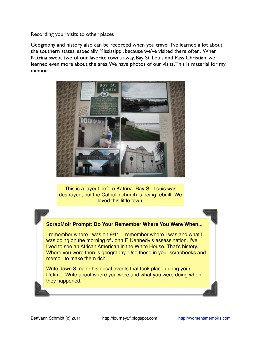Recording your visits to other places

Geography and history also can be recorded when you travel. I've learned a lot about the southern states, especially Mississippi, because we've visited there often. When Katrina swept two of our favorite towns away, Bay St. Louis and Pass Christian, we learned even more about the area. We have photos of our visits. This is material for my memoir.



This is a layout before Katrina. Bay St. Louis was destroyed, but the Catholic church is being rebuilt. We loved this little town.

#### **ScrapMoir Prompt: Do Your Remember Where You Were When...**

I remember where I was on 9/11. I remember where I was and what I was doing on the morning of John F. Kennedy's assassination. I've lived to see an African American in the White House. That's history. Where you were then is geography. Use these in your scrapbooks and memoir to make them rich.

Write down 3 major historical events that took place during your lifetime. Write about where you were and what you were doing when they happened.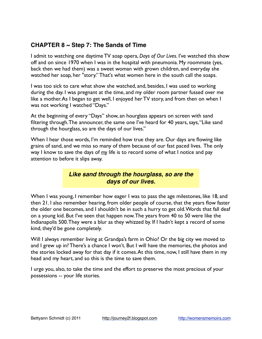#### **CHAPTER 8 ~ Step 7: The Sands of Time**

I admit to watching one daytime TV soap opera, *Days of Our Lives*. I've watched this show off and on since 1970 when I was in the hospital with pneumonia. My roommate (yes, back then we had them) was a sweet woman with grown children, and everyday she watched her soap, her "story." That's what women here in the south call the soaps.

I was too sick to care what show she watched, and, besides, I was used to working during the day. I was pregnant at the time, and my older room partner fussed over me like a mother. As I began to get well, I enjoyed her TV story, and from then on when I was not working I watched "Days."

At the beginning of every "Days" show, an hourglass appears on screen with sand filtering through. The announcer, the same one I've heard for 40 years, says, "Like sand through the hourglass, so are the days of our lives."

When I hear those words, I'm reminded how true they are. Our days are flowing like grains of sand, and we miss so many of them because of our fast paced lives. The only way I know to save the days of *my* life is to record some of what I notice and pay attention to before it slips away.

#### *Like sand through the hourglass, so are the days of our lives.*

When I was young, I remember how eager I was to pass the age milestones, like 18, and then 21. I also remember hearing, from older people of course, that the years flow faster the older one becomes, and I shouldn't be in such a hurry to get old. Words that fall deaf on a young kid. But I've seen that happen now. The years from 40 to 50 were like the Indianapolis 500. They were a blur as they whizzed by. If I hadn't kept a record of some kind, they'd be gone completely.

Will I always remember living at Grandpa's farm in Ohio? Or the big city we moved to and I grew up in? There's a chance I won't. But I will have the memories, the photos and the stories locked away for that day if it comes. At this time, now, I still have them in my head and my heart, and so this is the time to save them.

I urge you, also, to take the time and the effort to preserve the most precious of your possessions -- your life stories.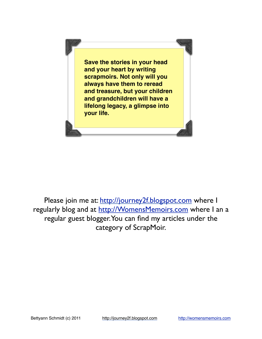

Please join me at:<http://journey2f.blogspot.com> where I regularly blog and at<http://WomensMemoirs.com>where I an a regular guest blogger. You can find my articles under the category of ScrapMoir.